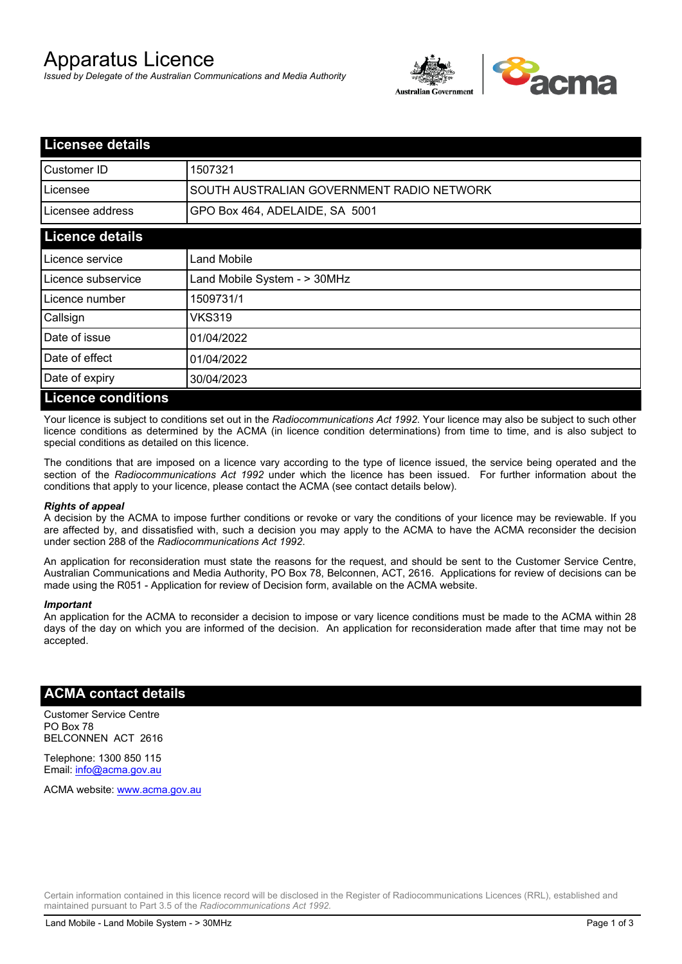# Apparatus Licence

*Issued by Delegate of the Australian Communications and Media Authority*



| <b>Licensee details</b>   |                                           |
|---------------------------|-------------------------------------------|
| Customer ID               | 1507321                                   |
| Licensee                  | SOUTH AUSTRALIAN GOVERNMENT RADIO NETWORK |
| Licensee address          | GPO Box 464, ADELAIDE, SA 5001            |
| <b>Licence details</b>    |                                           |
| Licence service           | Land Mobile                               |
| Licence subservice        | Land Mobile System - > 30MHz              |
| Licence number            | 1509731/1                                 |
| Callsign                  | VKS319                                    |
| Date of issue             | 01/04/2022                                |
| Date of effect            | 01/04/2022                                |
| Date of expiry            | 30/04/2023                                |
| <b>Licence conditions</b> |                                           |

Your licence is subject to conditions set out in the *Radiocommunications Act 1992*. Your licence may also be subject to such other licence conditions as determined by the ACMA (in licence condition determinations) from time to time, and is also subject to special conditions as detailed on this licence.

The conditions that are imposed on a licence vary according to the type of licence issued, the service being operated and the section of the *Radiocommunications Act 1992* under which the licence has been issued. For further information about the conditions that apply to your licence, please contact the ACMA (see contact details below).

#### *Rights of appeal*

A decision by the ACMA to impose further conditions or revoke or vary the conditions of your licence may be reviewable. If you are affected by, and dissatisfied with, such a decision you may apply to the ACMA to have the ACMA reconsider the decision under section 288 of the *Radiocommunications Act 1992*.

An application for reconsideration must state the reasons for the request, and should be sent to the Customer Service Centre, Australian Communications and Media Authority, PO Box 78, Belconnen, ACT, 2616. Applications for review of decisions can be made using the R051 - Application for review of Decision form, available on the ACMA website.

#### *Important*

An application for the ACMA to reconsider a decision to impose or vary licence conditions must be made to the ACMA within 28 days of the day on which you are informed of the decision. An application for reconsideration made after that time may not be accepted.

### **ACMA contact details**

Customer Service Centre PO Box 78 BELCONNEN ACT 2616

Telephone: 1300 850 115 Email: info@acma.gov.au

ACMA website: www.acma.gov.au

Certain information contained in this licence record will be disclosed in the Register of Radiocommunications Licences (RRL), established and maintained pursuant to Part 3.5 of the *Radiocommunications Act 1992.*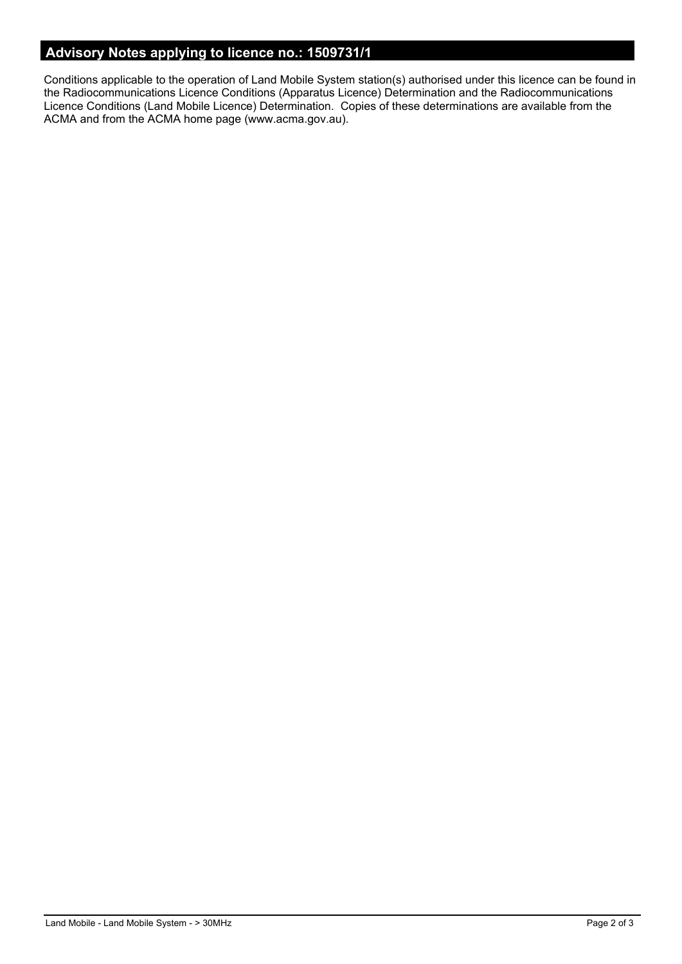# **Advisory Notes applying to licence no.: 1509731/1**

Conditions applicable to the operation of Land Mobile System station(s) authorised under this licence can be found in the Radiocommunications Licence Conditions (Apparatus Licence) Determination and the Radiocommunications Licence Conditions (Land Mobile Licence) Determination. Copies of these determinations are available from the ACMA and from the ACMA home page (www.acma.gov.au).